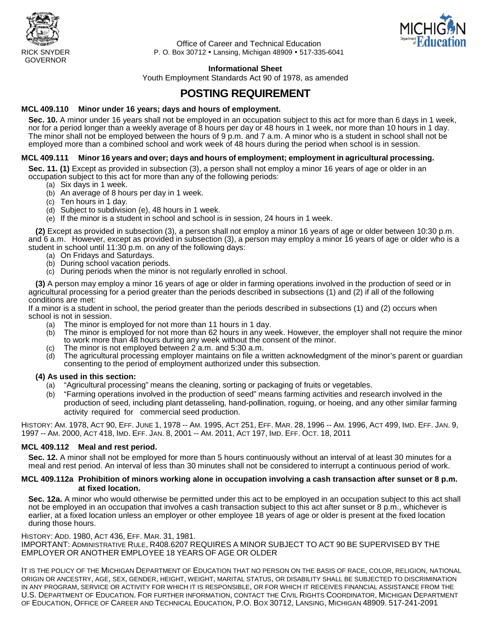



Office of Career and Technical Education RICK SNYDER P. O. Box 30712 Lansing, Michigan 48909 517-335-6041

#### **Informational Sheet**

Youth Employment Standards Act 90 of 1978, as amended

# **POSTING REQUIREMENT**

#### **MCL 409.110 Minor under 16 years; days and hours of employment.**

**Sec. 10.** A minor under 16 years shall not be employed in an occupation subject to this act for more than 6 days in 1 week, nor for a period longer than a weekly average of 8 hours per day or 48 hours in 1 week, nor more than 10 hours in 1 day. The minor shall not be employed between the hours of 9 p.m. and 7 a.m. A minor who is a student in school shall not be employed more than a combined school and work week of 48 hours during the period when school is in session.

#### **MCL 409.111 Minor 16 years and over; days and hours of employment; employment in agricultural processing.**

**Sec. 11. (1)** Except as provided in subsection (3), a person shall not employ a minor 16 years of age or older in an occupation subject to this act for more than any of the following periods:

- (a) Six days in 1 week.
- (b) An average of 8 hours per day in 1 week.
- (c) Ten hours in 1 day.
- (d) Subject to subdivision (e), 48 hours in 1 week.
- (e) If the minor is a student in school and school is in session, 24 hours in 1 week.

**(2)** Except as provided in subsection (3), a person shall not employ a minor 16 years of age or older between 10:30 p.m. and 6 a.m. However, except as provided in subsection (3), a person may employ a minor 16 years of age or older who is a student in school until 11:30 p.m. on any of the following days:

- (a) On Fridays and Saturdays.
- (b) During school vacation periods.
- (c) During periods when the minor is not regularly enrolled in school.

**(3)** A person may employ a minor 16 years of age or older in farming operations involved in the production of seed or in agricultural processing for a period greater than the periods described in subsections (1) and (2) if all of the following conditions are met:

If a minor is a student in school, the period greater than the periods described in subsections (1) and (2) occurs when school is not in session.

- (a) The minor is employed for not more than 11 hours in 1 day.
- (b) The minor is employed for not more than 62 hours in any week. However, the employer shall not require the minor to work more than 48 hours during any week without the consent of the minor.
- (c) The minor is not employed between  $2$  a.m. and  $5:30$  a.m.
- (d) The agricultural processing employer maintains on file a written acknowledgment of the minor's parent or guardian consenting to the period of employment authorized under this subsection.

#### **(4) As used in this section:**

- (a) "Agricultural processing" means the cleaning, sorting or packaging of fruits or vegetables.
- (b) "Farming operations involved in the production of seed" means farming activities and research involved in the production of seed, including plant detasseling, hand-pollination, roguing, or hoeing, and any other similar farming activity required for commercial seed production.

HISTORY: AM. 1978, ACT 90, EFF. JUNE 1, 1978 -- AM. 1995, ACT 251, EFF. MAR. 28, 1996 -- AM. 1996, ACT 499, IMD. EFF. JAN. 9, 1997 -- AM. 2000, ACT 418, IMD. EFF. JAN. 8, 2001 -- AM. 2011, ACT 197, IMD. EFF. OCT. 18, 2011

#### **MCL 409.112 Meal and rest period.**

**Sec. 12.** A minor shall not be employed for more than 5 hours continuously without an interval of at least 30 minutes for a meal and rest period. An interval of less than 30 minutes shall not be considered to interrupt a continuous period of work.

#### **MCL 409.112a Prohibition of minors working alone in occupation involving a cash transaction after sunset or 8 p.m. at fixed location.**

**Sec. 12a.** A minor who would otherwise be permitted under this act to be employed in an occupation subject to this act shall not be employed in an occupation that involves a cash transaction subject to this act after sunset or 8 p.m., whichever is earlier, at a fixed location unless an employer or other employee 18 years of age or older is present at the fixed location during those hours.

HISTORY: ADD. 1980, ACT 436, EFF. MAR. 31, 1981.

IMPORTANT: ADMINISTRATIVE RULE, R408.6207 REQUIRES A MINOR SUBJECT TO ACT 90 BE SUPERVISED BY THE EMPLOYER OR ANOTHER EMPLOYEE 18 YEARS OF AGE OR OLDER

IT IS THE POLICY OF THE MICHIGAN DEPARTMENT OF EDUCATION THAT NO PERSON ON THE BASIS OF RACE, COLOR, RELIGION, NATIONAL ORIGIN OR ANCESTRY, AGE, SEX, GENDER, HEIGHT, WEIGHT, MARITAL STATUS, OR DISABILITY SHALL BE SUBJECTED TO DISCRIMINATION IN ANY PROGRAM, SERVICE OR ACTIVITY FOR WHICH IT IS RESPONSIBLE, OR FOR WHICH IT RECEIVES FINANCIAL ASSISTANCE FROM THE U.S. DEPARTMENT OF EDUCATION. FOR FURTHER INFORMATION, CONTACT THE CIVIL RIGHTS COORDINATOR, MICHIGAN DEPARTMENT OF EDUCATION, OFFICE OF CAREER AND TECHNICAL EDUCATION, P.O. BOX 30712, LANSING, MICHIGAN 48909. 517-241-2091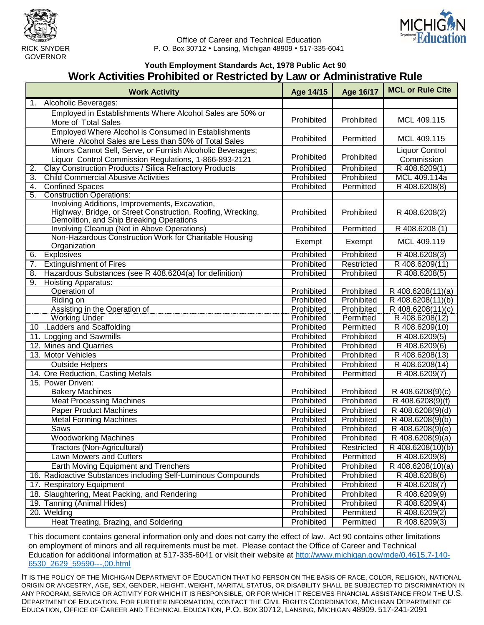



Office of Career and Technical Education RICK SNYDER **P. O. Box 30712 · Lansing, Michigan 48909 · 517-335-6041** 

#### **Youth Employment Standards Act, 1978 Public Act 90 Work Activities Prohibited or Restricted by Law or Administrative Rule**

| <b>Work Activity</b>                                                                                                                                      | Age 14/15  | Age 16/17  | <b>MCL or Rule Cite</b>        |
|-----------------------------------------------------------------------------------------------------------------------------------------------------------|------------|------------|--------------------------------|
| 1. Alcoholic Beverages:                                                                                                                                   |            |            |                                |
| Employed in Establishments Where Alcohol Sales are 50% or                                                                                                 |            |            |                                |
| More of Total Sales                                                                                                                                       | Prohibited | Prohibited | MCL 409.115                    |
| Employed Where Alcohol is Consumed in Establishments                                                                                                      |            |            |                                |
| Where Alcohol Sales are Less than 50% of Total Sales                                                                                                      | Prohibited | Permitted  | MCL 409.115                    |
| Minors Cannot Sell, Serve, or Furnish Alcoholic Beverages;                                                                                                |            |            | <b>Liquor Control</b>          |
| Liquor Control Commission Regulations, 1-866-893-2121                                                                                                     | Prohibited | Prohibited | Commission                     |
| Clay Construction Products / Silica Refractory Products<br>2.                                                                                             | Prohibited | Prohibited | R 408.6209(1)                  |
| <b>Child Commercial Abusive Activities</b><br>3.                                                                                                          | Prohibited | Prohibited | MCL 409.114a                   |
| 4.<br><b>Confined Spaces</b>                                                                                                                              | Prohibited | Permitted  | R 408.6208(8)                  |
| <b>Construction Operations:</b><br>5.                                                                                                                     |            |            |                                |
| Involving Additions, Improvements, Excavation,<br>Highway, Bridge, or Street Construction, Roofing, Wrecking,<br>Demolition, and Ship Breaking Operations | Prohibited | Prohibited | R 408.6208(2)                  |
| Involving Cleanup (Not in Above Operations)                                                                                                               | Prohibited | Permitted  | R 408.6208 (1)                 |
| Non-Hazardous Construction Work for Charitable Housing<br>Organization                                                                                    | Exempt     | Exempt     | MCL 409.119                    |
| <b>Explosives</b><br>6.                                                                                                                                   | Prohibited | Prohibited | R 408.6208(3)                  |
| <b>Extinguishment of Fires</b><br>$\overline{7}$ .                                                                                                        | Prohibited | Restricted | R 408.6209(11)                 |
| Hazardous Substances (see R 408.6204(a) for definition)<br>8.                                                                                             | Prohibited | Prohibited | R 408.6208(5)                  |
| <b>Hoisting Apparatus:</b><br>9.                                                                                                                          |            |            |                                |
| Operation of                                                                                                                                              | Prohibited | Prohibited | $\overline{R}$ 408.6208(11)(a) |
| Riding on                                                                                                                                                 | Prohibited | Prohibited | R 408.6208(11)(b)              |
| Assisting in the Operation of                                                                                                                             | Prohibited | Prohibited | $\overline{R}$ 408.6208(11)(c) |
| <b>Working Under</b>                                                                                                                                      | Prohibited | Permitted  | R 408.6208(12)                 |
| 10 .Ladders and Scaffolding                                                                                                                               | Prohibited | Permitted  | R 408.6209(10)                 |
| 11. Logging and Sawmills                                                                                                                                  | Prohibited | Prohibited | R 408.6209(5)                  |
| 12. Mines and Quarries                                                                                                                                    | Prohibited | Prohibited | R 408.6209(6)                  |
| 13. Motor Vehicles                                                                                                                                        | Prohibited | Prohibited | R 408.6208(13)                 |
| <b>Outside Helpers</b>                                                                                                                                    | Prohibited | Prohibited | R 408.6208(14)                 |
| 14. Ore Reduction, Casting Metals                                                                                                                         | Prohibited | Permitted  | R 408.6209(7)                  |
| 15. Power Driven:                                                                                                                                         |            |            |                                |
| <b>Bakery Machines</b>                                                                                                                                    | Prohibited | Prohibited | R 408.6208(9)(c)               |
| <b>Meat Processing Machines</b>                                                                                                                           | Prohibited | Prohibited | R 408.6208(9)(f)               |
| <b>Paper Product Machines</b>                                                                                                                             | Prohibited | Prohibited | R 408.6208(9)(d)               |
| <b>Metal Forming Machines</b>                                                                                                                             | Prohibited | Prohibited | R 408.6208(9)(b)               |
| Saws                                                                                                                                                      | Prohibited | Prohibited | R 408.6208(9)(e)               |
| Woodworking Machines                                                                                                                                      | Prohibited | Prohibited | R 408.6208(9)(a)               |
| Tractors (Non-Agricultural)                                                                                                                               | Prohibited | Restricted | R 408.6208(10)(b)              |
| Lawn Mowers and Cutters                                                                                                                                   | Prohibited | Permitted  | R 408.6209(8)                  |
| Earth Moving Equipment and Trenchers                                                                                                                      | Prohibited | Prohibited | $\overline{R}$ 408.6208(10)(a) |
| 16. Radioactive Substances including Self-Luminous Compounds                                                                                              | Prohibited | Prohibited | R 408.6208(6)                  |
| 17. Respiratory Equipment                                                                                                                                 | Prohibited | Prohibited | R 408.6208(7)                  |
| 18. Slaughtering, Meat Packing, and Rendering                                                                                                             | Prohibited | Prohibited | R 408.6209(9)                  |
| 19. Tanning (Animal Hides)                                                                                                                                | Prohibited | Prohibited | R 408.6209(4)                  |
| 20. Welding                                                                                                                                               | Prohibited | Permitted  | $\overline{R}$ 408.6209(2)     |
| Heat Treating, Brazing, and Soldering                                                                                                                     | Prohibited | Permitted  | R 408.6209(3)                  |

This document contains general information only and does not carry the effect of law. Act 90 contains other limitations on employment of minors and all requirements must be met. Please contact the Office of Career and Technical Education for additional information at 517-335-6041 or visit their [website at http://www.michigan.gov/mde/0,4615,7-140-](http://www.michigan.gov/mde/0,4615,7-140-6530_2629_59590---,00.html) [6530\\_2629\\_59590---,00.html](http://www.michigan.gov/mde/0,4615,7-140-6530_2629_59590---,00.html)

IT IS THE POLICY OF THE MICHIGAN DEPARTMENT OF EDUCATION THAT NO PERSON ON THE BASIS OF RACE, COLOR, RELIGION, NATIONAL ORIGIN OR ANCESTRY, AGE, SEX, GENDER, HEIGHT, WEIGHT, MARITAL STATUS, OR DISABILITY SHALL BE SUBJECTED TO DISCRIMINATION IN ANY PROGRAM, SERVICE OR ACTIVITY FOR WHICH IT IS RESPONSIBLE, OR FOR WHICH IT RECEIVES FINANCIAL ASSISTANCE FROM THE U.S. DEPARTMENT OF EDUCATION. FOR FURTHER INFORMATION, CONTACT THE CIVIL RIGHTS COORDINATOR, MICHIGAN DEPARTMENT OF EDUCATION, OFFICE OF CAREER AND TECHNICAL EDUCATION, P.O. BOX 30712, LANSING, MICHIGAN 48909. 517-241-2091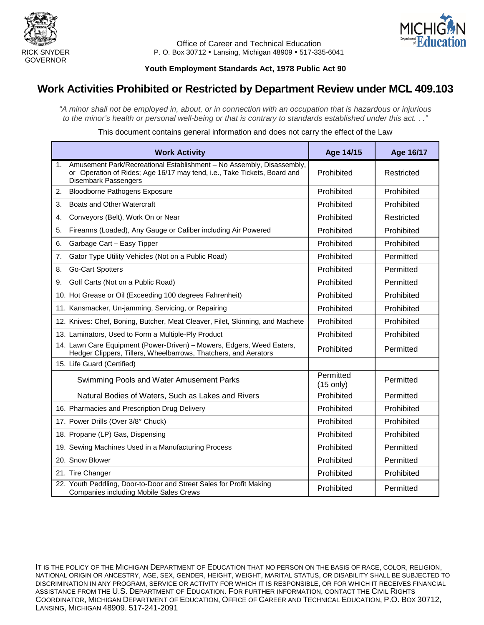



Office of Career and Technical Education RICK SNYDER **P. O. Box 30712 · Lansing, Michigan 48909 · 517-335-6041** 

#### **Youth Employment Standards Act, 1978 Public Act 90**

## **Work Activities Prohibited or Restricted by Department Review under MCL 409.103**

*"A minor shall not be employed in, about, or in connection with an occupation that is hazardous or injurious to the minor's health or personal well-being or that is contrary to standards established under this act. . ."*

This document contains general information and does not carry the effect of the Law

|    | <b>Work Activity</b>                                                                                                                                                             | Age 14/15                | Age 16/17  |
|----|----------------------------------------------------------------------------------------------------------------------------------------------------------------------------------|--------------------------|------------|
| 1. | Amusement Park/Recreational Establishment - No Assembly, Disassembly,<br>or Operation of Rides; Age 16/17 may tend, i.e., Take Tickets, Board and<br><b>Disembark Passengers</b> | Prohibited               | Restricted |
| 2. | <b>Bloodborne Pathogens Exposure</b>                                                                                                                                             | Prohibited               | Prohibited |
| 3. | Boats and Other Watercraft                                                                                                                                                       | Prohibited               | Prohibited |
| 4. | Conveyors (Belt), Work On or Near                                                                                                                                                | Prohibited               | Restricted |
| 5. | Firearms (Loaded), Any Gauge or Caliber including Air Powered                                                                                                                    | Prohibited               | Prohibited |
| 6. | Garbage Cart - Easy Tipper                                                                                                                                                       | Prohibited               | Prohibited |
| 7. | Gator Type Utility Vehicles (Not on a Public Road)                                                                                                                               | Prohibited               | Permitted  |
| 8. | <b>Go-Cart Spotters</b>                                                                                                                                                          | Prohibited               | Permitted  |
| 9. | Golf Carts (Not on a Public Road)                                                                                                                                                | Prohibited               | Permitted  |
|    | 10. Hot Grease or Oil (Exceeding 100 degrees Fahrenheit)                                                                                                                         | Prohibited               | Prohibited |
|    | 11. Kansmacker, Un-jamming, Servicing, or Repairing                                                                                                                              | Prohibited               | Prohibited |
|    | 12. Knives: Chef, Boning, Butcher, Meat Cleaver, Filet, Skinning, and Machete                                                                                                    | Prohibited               | Prohibited |
|    | 13. Laminators, Used to Form a Multiple-Ply Product                                                                                                                              | Prohibited               | Prohibited |
|    | 14. Lawn Care Equipment (Power-Driven) - Mowers, Edgers, Weed Eaters,<br>Hedger Clippers, Tillers, Wheelbarrows, Thatchers, and Aerators                                         | Prohibited               | Permitted  |
|    | 15. Life Guard (Certified)                                                                                                                                                       |                          |            |
|    | Swimming Pools and Water Amusement Parks                                                                                                                                         | Permitted<br>$(15$ only) | Permitted  |
|    | Natural Bodies of Waters, Such as Lakes and Rivers                                                                                                                               | Prohibited               | Permitted  |
|    | 16. Pharmacies and Prescription Drug Delivery                                                                                                                                    | Prohibited               | Prohibited |
|    | 17. Power Drills (Over 3/8" Chuck)                                                                                                                                               | Prohibited               | Prohibited |
|    | 18. Propane (LP) Gas, Dispensing                                                                                                                                                 | Prohibited               | Prohibited |
|    | 19. Sewing Machines Used in a Manufacturing Process                                                                                                                              | Prohibited               | Permitted  |
|    | 20. Snow Blower                                                                                                                                                                  | Prohibited               | Permitted  |
|    | 21. Tire Changer                                                                                                                                                                 | Prohibited               | Prohibited |
|    | 22. Youth Peddling, Door-to-Door and Street Sales for Profit Making<br><b>Companies including Mobile Sales Crews</b>                                                             | Prohibited               | Permitted  |

IT IS THE POLICY OF THE MICHIGAN DEPARTMENT OF EDUCATION THAT NO PERSON ON THE BASIS OF RACE, COLOR, RELIGION, NATIONAL ORIGIN OR ANCESTRY, AGE, SEX, GENDER, HEIGHT, WEIGHT, MARITAL STATUS, OR DISABILITY SHALL BE SUBJECTED TO DISCRIMINATION IN ANY PROGRAM, SERVICE OR ACTIVITY FOR WHICH IT IS RESPONSIBLE, OR FOR WHICH IT RECEIVES FINANCIAL ASSISTANCE FROM THE U.S. DEPARTMENT OF EDUCATION. FOR FURTHER INFORMATION, CONTACT THE CIVIL RIGHTS COORDINATOR, MICHIGAN DEPARTMENT OF EDUCATION, OFFICE OF CAREER AND TECHNICAL EDUCATION, P.O. BOX 30712, LANSING, MICHIGAN 48909. 517-241-2091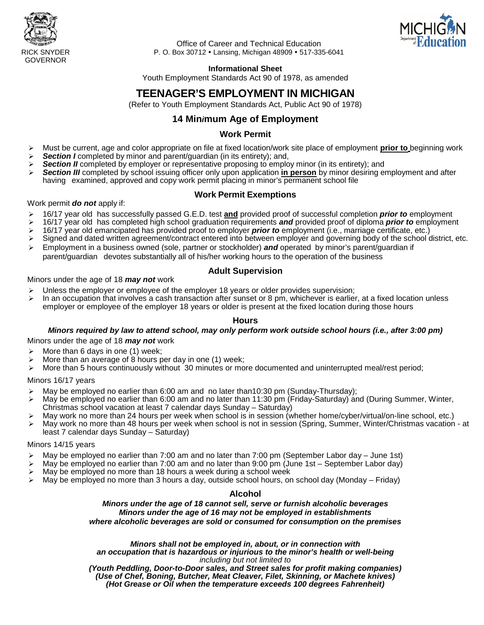



Office of Career and Technical Education RICK SNYDER P. O. Box 30712 Lansing, Michigan 48909 517-335-6041

#### **Informational Sheet**

Youth Employment Standards Act 90 of 1978, as amended

## **TEENAGER'S EMPLOYMENT IN MICHIGAN**

(Refer to Youth Employment Standards Act, Public Act 90 of 1978)

### **14 Min***i***mum Age of Employment**

#### **Work Permit**

- Must be current, age and color appropriate on file at fixed location/work site place of employment **prior to** beginning work
- **Section I** completed by minor and parent/guardian (in its entirety); and,
- *Section II* completed by employer or representative proposing to employ minor (in its entirety); and
- *Section III* completed by school issuing officer only upon application **in person** by minor desiring employment and after having examined, approved and copy work permit placing in minor's permanent school file

#### **Work Permit Exemptions**

#### Work permit *do not* apply if:

- 16/17 year old has successfully passed G.E.D. test **and** provided proof of successful completion *prior to* employment
- 16/17 year old has completed high school graduation requirements *and* provided proof of diploma *prior to* employment
- > 16/17 year old emancipated has provided proof to employer *prior to* employment (i.e., marriage certificate, etc.)<br>► Signed and dated written agreement/contract entered into between employer and governing body of the
- Signed and dated written agreement/contract entered into between employer and governing body of the school district, etc.
- Employment in a business owned (sole, partner or stockholder) *and* operated by minor's parent/guardian if parent/guardian devotes substantially all of his/her working hours to the operation of the business

#### **Adult Supervision**

#### Minors under the age of 18 *may not* work

- $\triangleright$  Unless the employer or employee of the employer 18 years or older provides supervision;
- $\triangleright$  In an occupation that involves a cash transaction after sunset or 8 pm, whichever is earlier, at a fixed location unless employer or employee of the employer 18 years or older is present at the fixed location during those hours

#### **Hours**

# *Minors required by law to attend school, may only perform work outside school hours (i.e., after 3:00 pm)*

Minors under the age of 18 *may not* work

- $\triangleright$  More than 6 days in one (1) week;
- More than an average of 8 hours per day in one (1) week;
- $\triangleright$  More than 5 hours continuously without 30 minutes or more documented and uninterrupted meal/rest period;

#### Minors 16/17 years

- May be employed no earlier than 6:00 am and no later than10:30 pm (Sunday-Thursday);
- > May be employed no earlier than 6:00 am and no later than 11:30 pm (Friday-Saturday) and (During Summer, Winter, Christmas school vacation at least 7 calendar days Sunday – Saturday)
- May work no more than 24 hours per week when school is in session (whether home/cyber/virtual/on-line school, etc.)
- > May work no more than 48 hours per week when school is not in session (Spring, Summer, Winter/Christmas vacation at least 7 calendar days Sunday – Saturday)

#### Minors 14/15 years

- $\triangleright$  May be employed no earlier than 7:00 am and no later than 7:00 pm (September Labor day June 1st)
- May be employed no earlier than 7:00 am and no later than 9:00 pm (June 1st September Labor day)
- $\triangleright$  May be employed no more than 18 hours a week during a school week<br> $\triangleright$  May be employed no more than 3 hours a day, outside school hours, or
- May be employed no more than 3 hours a day, outside school hours, on school day (Monday Friday)

#### **Alcohol**

#### *Minors under the age of 18 cannot sell, serve or furnish alcoholic beverages Minors under the age of 16 may not be employed in establishments where alcoholic beverages are sold or consumed for consumption on the premises*

*Minors shall not be employed in, about, or in connection with an occupation that is hazardous or injurious to the minor's health or well-being including but not limited to*

*(Youth Peddling, Door-to-Door sales, and Street sales for profit making companies) (Use of Chef, Boning, Butcher, Meat Cleaver, Filet, Skinning, or Machete knives) (Hot Grease or Oil when the temperature exceeds 100 degrees Fahrenheit)*